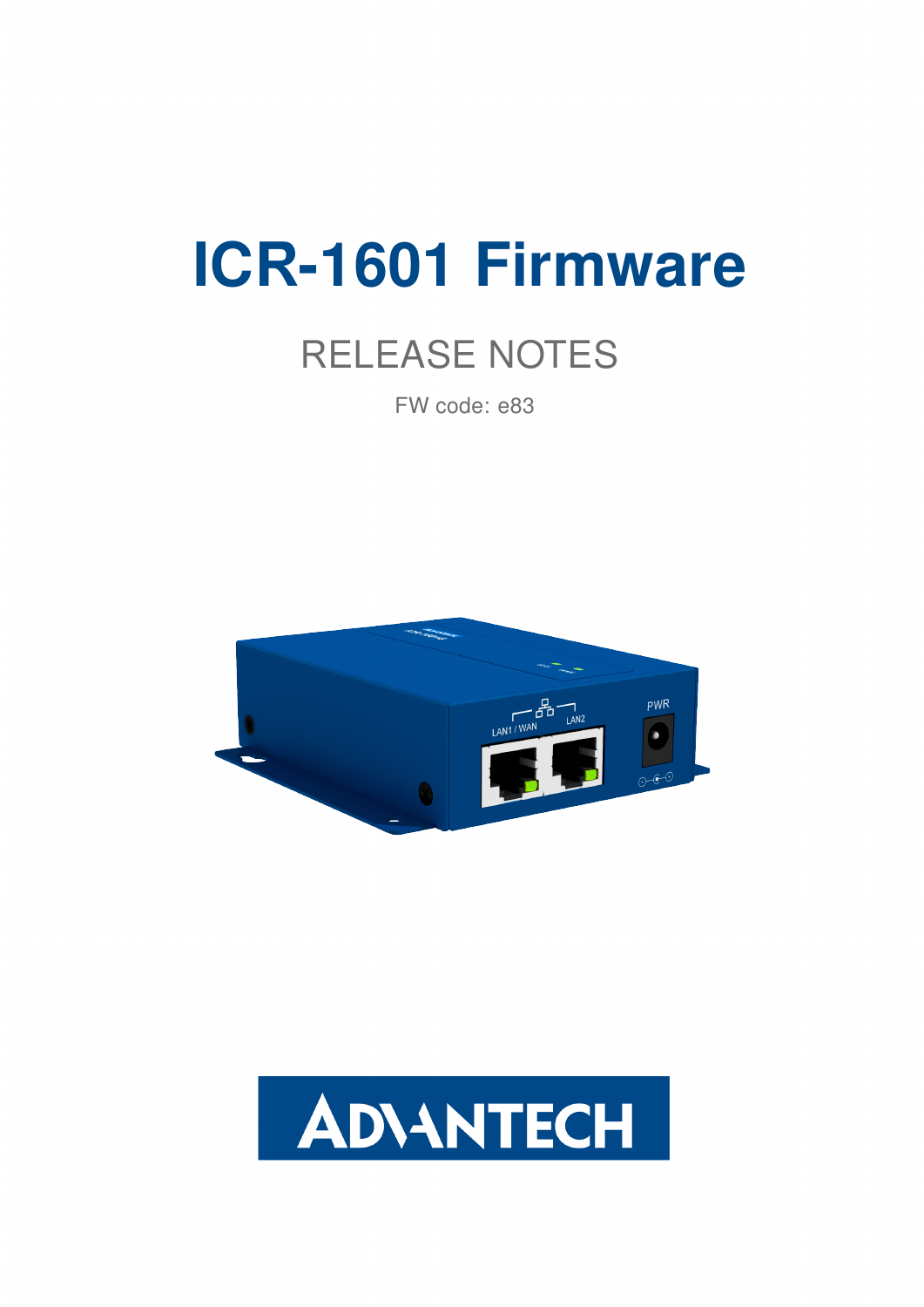# ICR-1601 Firmware

## RELEASE NOTES

FW code: e83



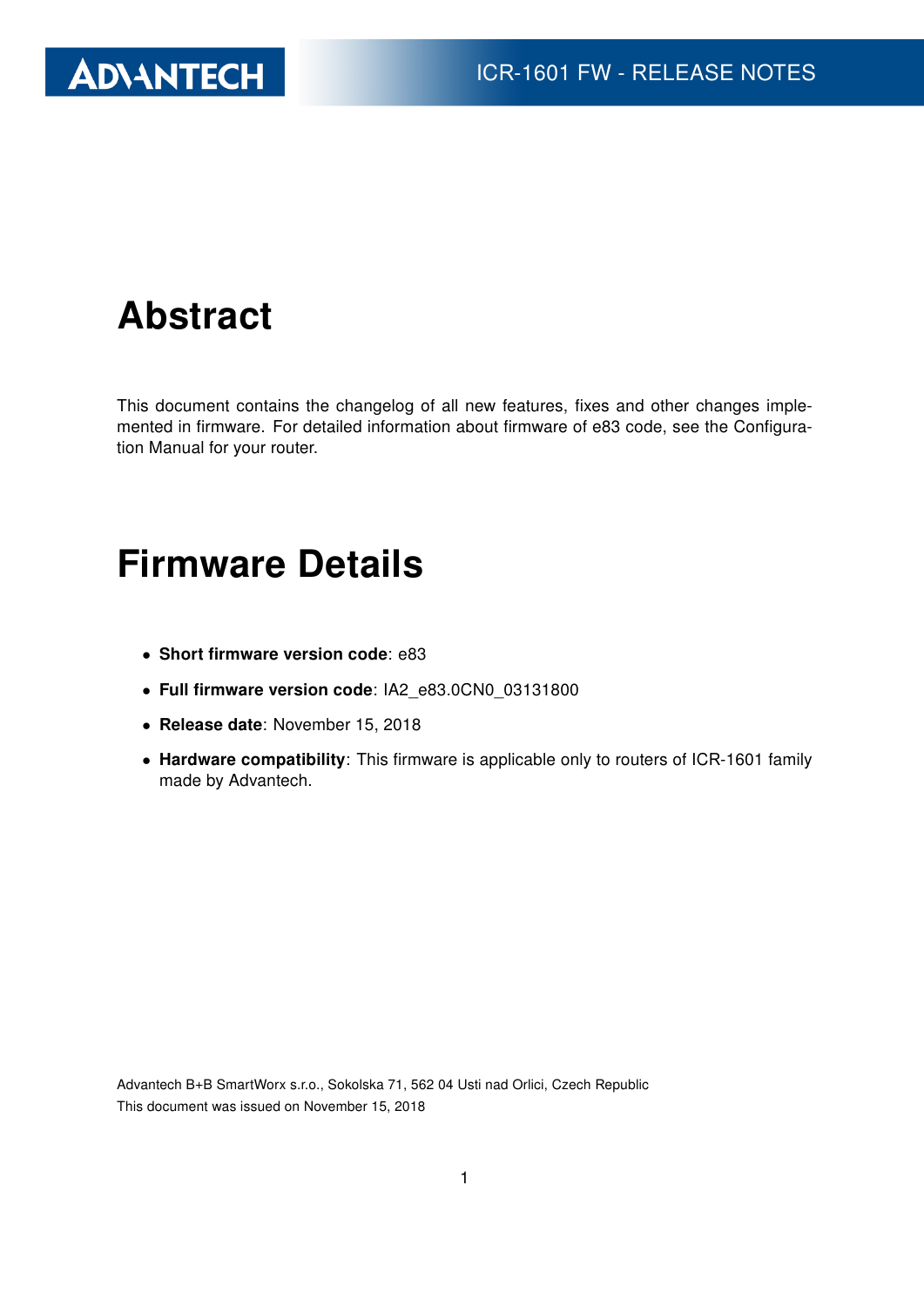

### Abstract

This document contains the changelog of all new features, fixes and other changes implemented in firmware. For detailed information about firmware of e83 code, see the Configuration Manual for your router.

#### Firmware Details

- Short firmware version code: e83
- Full firmware version code: IA2\_e83.0CN0\_03131800
- Release date: November 15, 2018
- Hardware compatibility: This firmware is applicable only to routers of ICR-1601 family made by Advantech.

Advantech B+B SmartWorx s.r.o., Sokolska 71, 562 04 Usti nad Orlici, Czech Republic This document was issued on November 15, 2018